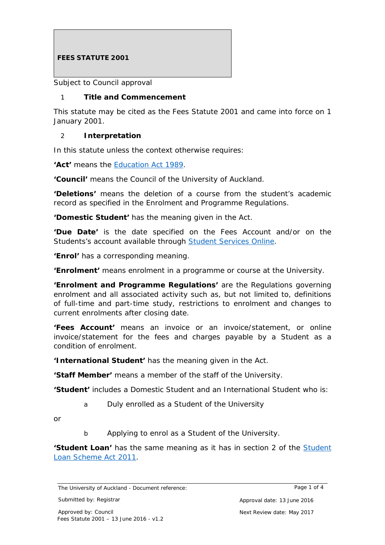# **FEES STATUTE 2001**

*Subject to Council approval*

## 1 **Title and Commencement**

This statute may be cited as the Fees Statute 2001 and came into force on 1 January 2001.

#### 2 **Interpretation**

In this statute unless the context otherwise requires:

**'Act'** means the [Education Act 1989.](http://www.legislation.govt.nz/act/public/1989/0080/latest/DLM175959.html%23DLM175958)

**'Council'** means the Council of the University of Auckland.

**'Deletions'** means the deletion of a course from the student's academic record as specified in the Enrolment and Programme Regulations.

**'Domestic Student'** has the meaning given in the Act.

**'Due Date'** is the date specified on the Fees Account and/or on the Students's account available through [Student Services Online.](http://www.studentservices.auckland.ac.nz/en.html)

**'Enrol'** has a corresponding meaning.

**'Enrolment'** means enrolment in a programme or course at the University.

**'Enrolment and Programme Regulations'** are the Regulations governing enrolment and all associated activity such as, but not limited to, definitions of full-time and part-time study, restrictions to enrolment and changes to current enrolments after closing date.

**'Fees Account'** means an invoice or an invoice/statement, or online invoice/statement for the fees and charges payable by a Student as a condition of enrolment.

**'International Student'** has the meaning given in the Act.

**'Staff Member'** means a member of the staff of the University.

**'Student'** includes a Domestic Student and an International Student who is:

a Duly enrolled as a Student of the University

*or*

b Applying to enrol as a Student of the University.

**'Student Loan'** has the same meaning as it has in section 2 of the **Student** [Loan Scheme Act 2011.](http://www.legislation.govt.nz/act/public/2011/0062/latest/DLM3179928.html)

The University of Auckland - Document reference: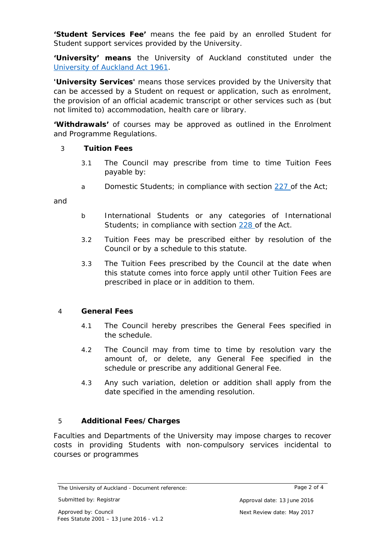**'Student Services Fee'** means the fee paid by an enrolled Student for Student support services provided by the University.

**'University' means** the University of Auckland constituted under the [University of Auckland Act 1961.](http://www.legislation.govt.nz/act/public/1961/0050/latest/DLM334956.html)

**'University Services'** means those services provided by the University that can be accessed by a Student on request or application, such as enrolment, the provision of an official academic transcript or other services such as (but not limited to) accommodation, health care or library.

**'Withdrawals'** of courses may be approved as outlined in the Enrolment and Programme Regulations.

## 3 **Tuition Fees**

- 3.1 The Council may prescribe from time to time Tuition Fees payable by:
- a Domestic Students; in compliance with section [227 o](http://www.legislation.govt.nz/act/public/1989/0080/latest/DLM185154.html?search=sw_096be8ed80ffcb47_domestic%2Bstudent_25_se&p=1)f the Act;

*and*

- b International Students or any categories of International Students; in compliance with section [228 o](http://www.legislation.govt.nz/act/public/1989/0080/latest/DLM185158.html?search=sw_096be8ed80ffcb47_domestic%2Bstudent_25_se&p=1)f the Act.
- 3.2 Tuition Fees may be prescribed either by resolution of the Council or by a schedule to this statute.
- 3.3 The Tuition Fees prescribed by the Council at the date when this statute comes into force apply until other Tuition Fees are prescribed in place or in addition to them.

#### 4 **General Fees**

- 4.1 The Council hereby prescribes the General Fees specified in the schedule.
- 4.2 The Council may from time to time by resolution vary the amount of, or delete, any General Fee specified in the schedule or prescribe any additional General Fee.
- 4.3 Any such variation, deletion or addition shall apply from the date specified in the amending resolution.

## 5 **Additional Fees/Charges**

Faculties and Departments of the University may impose charges to recover costs in providing Students with non-compulsory services incidental to courses or programmes

The University of Auckland - Document reference: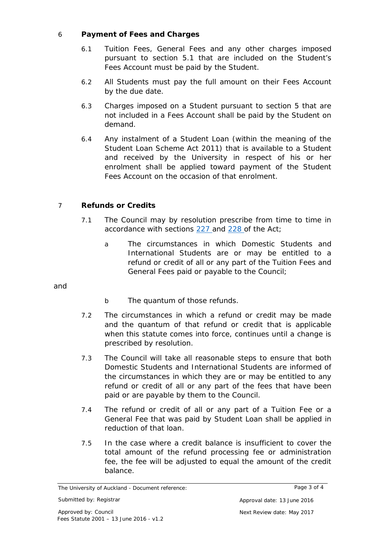# 6 **Payment of Fees and Charges**

- 6.1 Tuition Fees, General Fees and any other charges imposed pursuant to section 5.1 that are included on the Student's Fees Account must be paid by the Student.
- 6.2 All Students must pay the full amount on their Fees Account by the due date.
- 6.3 Charges imposed on a Student pursuant to section 5 that are not included in a Fees Account shall be paid by the Student on demand.
- 6.4 Any instalment of a Student Loan (within the meaning of the Student Loan Scheme Act 2011) that is available to a Student and received by the University in respect of his or her enrolment shall be applied toward payment of the Student Fees Account on the occasion of that enrolment.

# 7 **Refunds or Credits**

- 7.1 The Council may by resolution prescribe from time to time in accordance with sections [227 a](http://www.legislation.govt.nz/act/public/1989/0080/latest/DLM185154.html?search=sw_096be8ed80ffcb47_domestic%2Bstudent_25_se&p=1)nd [228 o](http://www.legislation.govt.nz/act/public/1989/0080/latest/DLM185158.html?search=sw_096be8ed80ffcb47_domestic%2Bstudent_25_se&p=1)f the Act;
	- a The circumstances in which Domestic Students and International Students are or may be entitled to a refund or credit of all or any part of the Tuition Fees and General Fees paid or payable to the Council;

*and*

- b The quantum of those refunds.
- 7.2 The circumstances in which a refund or credit may be made and the quantum of that refund or credit that is applicable when this statute comes into force, continues until a change is prescribed by resolution.
- 7.3 The Council will take all reasonable steps to ensure that both Domestic Students and International Students are informed of the circumstances in which they are or may be entitled to any refund or credit of all or any part of the fees that have been paid or are payable by them to the Council.
- 7.4 The refund or credit of all or any part of a Tuition Fee or a General Fee that was paid by Student Loan shall be applied in reduction of that loan.
- 7.5 In the case where a credit balance is insufficient to cover the total amount of the refund processing fee or administration fee, the fee will be adjusted to equal the amount of the credit balance.

The University of Auckland - Document reference: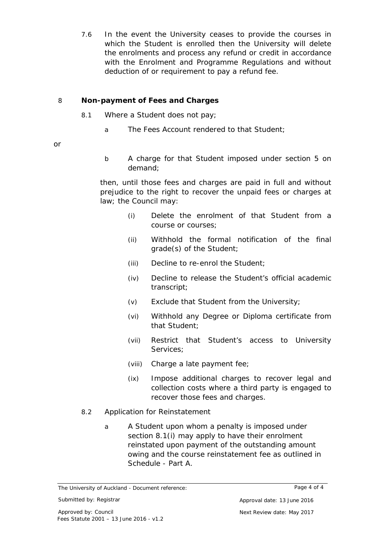7.6 In the event the University ceases to provide the courses in which the Student is enrolled then the University will delete the enrolments and process any refund or credit in accordance with the Enrolment and Programme Regulations and without deduction of or requirement to pay a refund fee.

# 8 **Non-payment of Fees and Charges**

- 8.1 Where a Student does not pay;
	- a The Fees Account rendered to that Student;

*or*

b A charge for that Student imposed under section 5 on demand;

then, until those fees and charges are paid in full and without prejudice to the right to recover the unpaid fees or charges at law; the Council may:

- (i) Delete the enrolment of that Student from a course or courses;
- (ii) Withhold the formal notification of the final grade(s) of the Student;
- (iii) Decline to re-enrol the Student;
- (iv) Decline to release the Student's official academic transcript;
- (v) Exclude that Student from the University;
- (vi) Withhold any Degree or Diploma certificate from that Student;
- (vii) Restrict that Student's access to University Services;
- (viii) Charge a late payment fee;
- (ix) Impose additional charges to recover legal and collection costs where a third party is engaged to recover those fees and charges.
- 8.2 Application for Reinstatement
	- a A Student upon whom a penalty is imposed under section 8.1(i) may apply to have their enrolment reinstated upon payment of the outstanding amount owing and the course reinstatement fee as outlined in Schedule - Part A.

Page 4 of 4

The University of Auckland - Document reference: